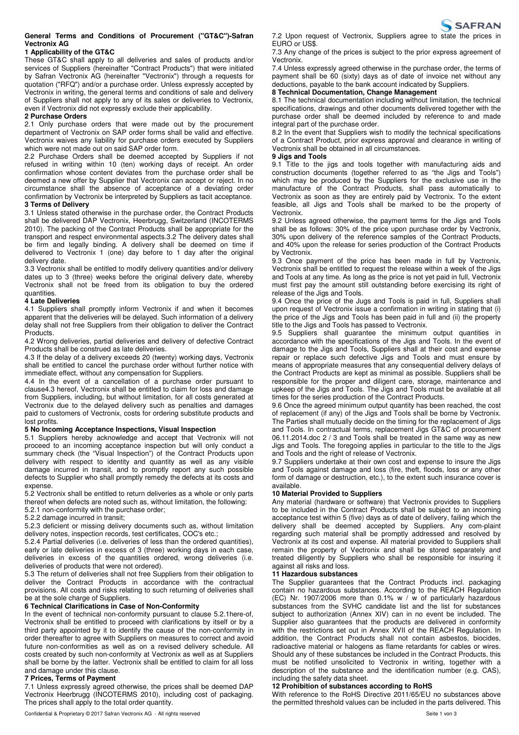## **General Terms and Conditions of Procurement ("GT&C")-Safran Vectronix AG**

## **1 Applicability of the GT&C**

These GT&C shall apply to all deliveries and sales of products and/or services of Suppliers (hereinafter "Contract Products") that were initiated by Safran Vectronix AG (hereinafter "Vectronix") through a requests for quotation ("RFQ") and/or a purchase order. Unless expressly accepted by Vectronix in writing, the general terms and conditions of sale and delivery of Suppliers shall not apply to any of its sales or deliveries to Vectronix, even if Vectronix did not expressly exclude their applicability.

## **2 Purchase Orders**

2.1 Only purchase orders that were made out by the procurement department of Vectronix on SAP order forms shall be valid and effective. Vectronix waives any liability for purchase orders executed by Suppliers which were not made out on said SAP order form.

2.2 Purchase Orders shall be deemed accepted by Suppliers if not refused in writing within 10 (ten) working days of receipt. An order confirmation whose content deviates from the purchase order shall be deemed a new offer by Supplier that Vectronix can accept or reject. In no circumstance shall the absence of acceptance of a deviating order confirmation by Vectronix be interpreted by Suppliers as tacit acceptance. **3 Terms of Delivery**

3.1 Unless stated otherwise in the purchase order, the Contract Products shall be delivered DAP Vectronix, Heerbrugg, Switzerland (INCOTERMS 2010). The packing of the Contract Products shall be appropriate for the transport and respect environmental aspects.3.2 The delivery dates shall be firm and legally binding. A delivery shall be deemed on time if delivered to Vectronix 1 (one) day before to 1 day after the original delivery date.

3.3 Vectronix shall be entitled to modify delivery quantities and/or delivery dates up to 3 (three) weeks before the original delivery date, whereby Vectronix shall not be freed from its obligation to buy the ordered quantities.

## **4 Late Deliveries**

4.1 Suppliers shall promptly inform Vectronix if and when it becomes apparent that the deliveries will be delayed. Such information of a delivery delay shall not free Suppliers from their obligation to deliver the Contract Products.

4.2 Wrong deliveries, partial deliveries and delivery of defective Contract Products shall be construed as late deliveries.

4.3 If the delay of a delivery exceeds 20 (twenty) working days, Vectronix shall be entitled to cancel the purchase order without further notice with immediate effect, without any compensation for Suppliers.

4.4 In the event of a cancellation of a purchase order pursuant to clause4.3 hereof, Vectronix shall be entitled to claim for loss and damage from Suppliers, including, but without limitation, for all costs generated at Vectronix due to the delayed delivery such as penalties and damages paid to customers of Vectronix, costs for ordering substitute products and lost profits.

## **5 No Incoming Acceptance Inspections, Visual Inspection**

5.1 Suppliers hereby acknowledge and accept that Vectronix will not proceed to an incoming acceptance inspection but will only conduct a summary check (the "Visual Inspection") of the Contract Products upon delivery with respect to identity and quantity as well as any visible damage incurred in transit, and to promptly report any such possible defects to Supplier who shall promptly remedy the defects at its costs and expense

5.2 Vectronix shall be entitled to return deliveries as a whole or only parts thereof when defects are noted such as, without limitation, the following:

5.2.1 non-conformity with the purchase order;

5.2.2 damage incurred in transit;

5.2.3 deficient or missing delivery documents such as, without limitation delivery notes, inspection records, test certificates, COC's etc.;

5.2.4 Partial deliveries (i.e. deliveries of less than the ordered quantities), early or late deliveries in excess of 3 (three) working days in each case, deliveries in excess of the quantities ordered, wrong deliveries (i.e. deliveries of products that were not ordered).

5.3 The return of deliveries shall not free Suppliers from their obligation to deliver the Contract Products in accordance with the contractual provisions. All costs and risks relating to such returning of deliveries shall be at the sole charge of Suppliers.

### **6 Technical Clarifications in Case of Non-Conformity**

In the event of technical non-conformity pursuant to clause 5.2.1here-of, Vectronix shall be entitled to proceed with clarifications by itself or by a third party appointed by it to identify the cause of the non-conformity in order thereafter to agree with Suppliers on measures to correct and avoid future non-conformities as well as on a revised delivery schedule. All costs created by such non-conformity at Vectronix as well as at Suppliers shall be borne by the latter. Vectronix shall be entitled to claim for all loss and damage under this clause.

## **7 Prices, Terms of Payment**

7.1 Unless expressly agreed otherwise, the prices shall be deemed DAP Vectronix Heerbrugg (INCOTERMS 2010), including cost of packaging. The prices shall apply to the total order quantity.



7.2 Upon request of Vectronix, Suppliers agree to state the prices in EURO or US\$.

7.3 Any change of the prices is subject to the prior express agreement of Vectronix.

7.4 Unless expressly agreed otherwise in the purchase order, the terms of payment shall be 60 (sixty) days as of date of invoice net without any deductions, payable to the bank account indicated by Suppliers.

# **8 Technical Documentation, Change Management**

8.1 The technical documentation including without limitation, the technical specifications, drawings and other documents delivered together with the purchase order shall be deemed included by reference to and made integral part of the purchase order.

8.2 In the event that Suppliers wish to modify the technical specifications of a Contract Product, prior express approval and clearance in writing of Vectronix shall be obtained in all circumstances.

### **9 Jigs and Tools**

9.1 Title to the jigs and tools together with manufacturing aids and construction documents (together referred to as "the Jigs and Tools") which may be produced by the Suppliers for the exclusive use in the manufacture of the Contract Products, shall pass automatically to Vectronix as soon as they are entirely paid by Vectronix. To the extent feasible, all Jigs and Tools shall be marked to be the property of Vectronix.

9.2 Unless agreed otherwise, the payment terms for the Jigs and Tools shall be as follows: 30% of the price upon purchase order by Vectronix, 30% upon delivery of the reference samples of the Contract Products, and 40% upon the release for series production of the Contract Products by Vectronix.

9.3 Once payment of the price has been made in full by Vectronix, Vectronix shall be entitled to request the release within a week of the Jigs and Tools at any time. As long as the price is not yet paid in full, Vectronix must first pay the amount still outstanding before exercising its right of release of the Jigs and Tools.

9.4 Once the price of the Jugs and Tools is paid in full, Suppliers shall upon request of Vectronix issue a confirmation in writing in stating that (i) the price of the Jigs and Tools has been paid in full and (ii) the property title to the Jigs and Tools has passed to Vectronix.

9.5 Suppliers shall quarantee the minimum output quantities in accordance with the specifications of the Jigs and Tools. In the event of damage to the Jigs and Tools, Suppliers shall at their cost and expense repair or replace such defective Jigs and Tools and must ensure by means of appropriate measures that any consequential delivery delays of the Contract Products are kept as minimal as possible. Suppliers shall be responsible for the proper and diligent care, storage, maintenance and upkeep of the Jigs and Tools. The Jigs and Tools must be available at all times for the series production of the Contract Products.

9.6 Once the agreed minimum output quantity has been reached, the cost of replacement (if any) of the Jigs and Tools shall be borne by Vectronix. The Parties shall mutually decide on the timing for the replacement of Jigs and Tools. In contractual terms, replacement Jigs GT&C of procurement 06.11.2014.doc 2 / 3 and Tools shall be treated in the same way as new Jigs and Tools. The foregoing applies in particular to the title to the Jigs and Tools and the right of release of Vectronix.

9.7 Suppliers undertake at their own cost and expense to insure the Jigs and Tools against damage and loss (fire, theft, floods, loss or any other form of damage or destruction, etc.), to the extent such insurance cover is available.

## **10 Material Provided to Suppliers**

Any material (hardware or software) that Vectronix provides to Suppliers to be included in the Contract Products shall be subject to an incoming acceptance test within 5 (five) days as of date of delivery, failing which the delivery shall be deemed accepted by Suppliers. Any com-plaint regarding such material shall be promptly addressed and resolved by Vectronix at its cost and expense. All material provided to Suppliers shall remain the property of Vectronix and shall be stored separately and treated diligently by Suppliers who shall be responsible for insuring it against all risks and loss.

### **11 Hazardous substances**

The Supplier guarantees that the Contract Products incl. packaging contain no hazardous substances. According to the REACH Regulation (EC) Nr. 1907/2006 more than 0.1% w /  $\overline{w}$  of particularly hazardous substances from the SVHC candidate list and the list for substances subject to authorization (Annex XIV) can in no event be included. The Supplier also guarantees that the products are delivered in conformity with the restrictions set out in Annex XVII of the REACH Regulation. In addition, the Contract Products shall not contain asbestos, biocides, radioactive material or halogens as flame retardants for cables or wires. Should any of these substances be included in the Contract Products, this must be notified unsolicited to Vectronix in writing, together with a description of the substance and the identification number (e.g. CAS), including the safety data sheet.

## **12 Prohibition of substances according to RoHS**

With reference to the RoHS Directive 2011/65/EU no substances above the permitted threshold values can be included in the parts delivered. This

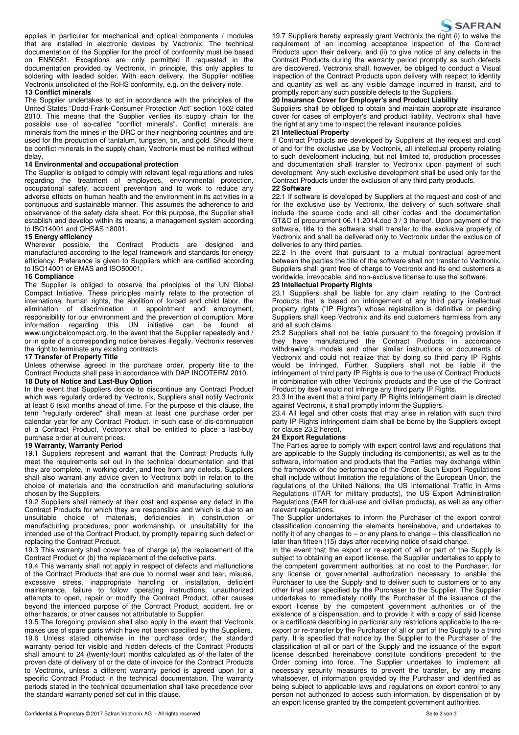applies in particular for mechanical and optical components / modules that are installed in electronic devices by Vectronix. The technical documentation of the Supplier for the proof of conformity must be based on EN50581. Exceptions are only permitted if requested in the documentation provided by Vectronix. In principle, this only applies to soldering with leaded solder. With each delivery, the Supplier notifies Vectronix unsolicited of the RoHS conformity, e.g. on the delivery note.

## **13 Conflict minerals**

The Supplier undertakes to act in accordance with the principles of the United States "Dodd-Frank-Consumer Protection Act" section 1502 dated 2010. This means that the Supplier verifies its supply chain for the possible use of so-called "conflict minerals". Conflict minerals are minerals from the mines in the DRC or their neighboring countries and are used for the production of tantalum, tungsten, tin, and gold. Should there be conflict minerals in the supply chain, Vectronix must be notified without delay.

#### **14 Environmental and occupational protection**

The Supplier is obliged to comply with relevant legal regulations and rules regarding the treatment of employees, environmental protection, occupational safety, accident prevention and to work to reduce any adverse effects on human health and the environment in its activities in a continuous and sustainable manner. This assumes the adherence to and observance of the safety data sheet. For this purpose, the Supplier shall establish and develop within its means, a management system according to ISO14001 and OHSAS 18001.

#### **15 Energy efficiency**

Wherever possible, the Contract Products are designed and manufactured according to the legal framework and standards for energy efficiency. Preference is given to Suppliers which are certified according to ISO14001 or EMAS and ISO50001.

#### **16 Compliance**

The Supplier is obliged to observe the principles of the UN Global Compact Initiative. These principles mainly relate to the protection of international human rights, the abolition of forced and child labor, the elimination of discrimination in appointment and employment, responsibility for our environment and the prevention of corruption. More information regarding this UN initiative can be found at www.unglobalcompact.org. In the event that the Supplier repeatedly and / or in spite of a corresponding notice behaves illegally, Vectronix reserves the right to terminate any existing contracts.

#### **17 Transfer of Property Title**

Unless otherwise agreed in the purchase order, property title to the Contract Products shall pass in accordance with DAP INCOTERM 2010.

#### **18 Duty of Notice and Last-Buy Option**

In the event that Suppliers decide to discontinue any Contract Product which was regularly ordered by Vectronix, Suppliers shall notify Vectronix at least 6 (six) months ahead of time. For the purpose of this clause, the term "regularly ordered" shall mean at least one purchase order per calendar year for any Contract Product. In such case of dis-continuation of a Contract Product, Vectronix shall be entitled to place a last-buy purchase order at current prices.

#### **19 Warranty, Warranty Period**

19.1 Suppliers represent and warrant that the Contract Products fully meet the requirements set out in the technical documentation and that they are complete, in working order, and free from any defects. Suppliers shall also warrant any advice given to Vectronix both in relation to the choice of materials and the construction and manufacturing solutions chosen by the Suppliers.

19.2 Suppliers shall remedy at their cost and expense any defect in the Contract Products for which they are responsible and which is due to an unsuitable choice of materials, deficiencies in construction or manufacturing procedures, poor workmanship, or unsuitability for the intended use of the Contract Product, by promptly repairing such defect or replacing the Contract Product.

19.3 This warranty shall cover free of charge (a) the replacement of the Contract Product or (b) the replacement of the defective parts.

19.4 This warranty shall not apply in respect of defects and malfunctions of the Contract Products that are due to normal wear and tear, misuse, excessive stress, inappropriate handling or installation, deficient maintenance, failure to follow operating instructions, unauthorized attempts to open, repair or modify the Contract Product, other causes beyond the intended purpose of the Contract Product, accident, fire or other hazards, or other causes not attributable to Supplier.

19.5 The foregoing provision shall also apply in the event that Vectronix makes use of spare parts which have not been specified by the Suppliers. 19.6 Unless stated otherwise in the purchase order, the standard warranty period for visible and hidden defects of the Contract Products shall amount to 24 (twenty-four) months calculated as of the later of the proven date of delivery of or the date of invoice for the Contract Products to Vectronix, unless a different warranty period is agreed upon for a specific Contract Product in the technical documentation. The warranty periods stated in the technical documentation shall take precedence over the standard warranty period set out in this clause.



19.7 Suppliers hereby expressly grant Vectronix the right (i) to waive the requirement of an incoming acceptance inspection of the Contract Products upon their delivery, and (ii) to give notice of any defects in the Contract Products during the warranty period promptly as such defects are discovered. Vectronix shall, however, be obliged to conduct a Visual Inspection of the Contract Products upon delivery with respect to identity and quantity as well as any visible damage incurred in transit, and to promptly report any such possible defects to the Suppliers.

## **20 Insurance Cover for Employer's and Product Liability**

Suppliers shall be obliged to obtain and maintain appropriate insurance cover for cases of employer's and product liability. Vectronix shall have the right at any time to inspect the relevant insurance policies.

# **21 Intellectual Property**

If Contract Products are developed by Suppliers at the request and cost of and for the exclusive use by Vectronix, all intellectual property relating to such development including, but not limited to, production processes and documentation shall transfer to Vectronix upon payment of such development. Any such exclusive development shall be used only for the Contract Products under the exclusion of any third party products.

### **22 Software**

22.1 If software is developed by Suppliers at the request and cost of and for the exclusive use by Vectronix, the delivery of such software shall include the source code and all other codes and the documentation GT&C of procurement 06.11.2014.doc 3 / 3 thereof. Upon payment of the software, title to the software shall transfer to the exclusive property of Vectronix and shall be delivered only to Vectronix under the exclusion of deliveries to any third parties.

22.2 In the event that pursuant to a mutual contractual agreement between the parties the title of the software shall not transfer to Vectronix, Suppliers shall grant free of charge to Vectronix and its end customers a worldwide, irrevocable, and non-exclusive license to use the software.

## **23 Intellectual Property Rights**

23.1 Suppliers shall be liable for any claim relating to the Contract Products that is based on infringement of any third party intellectual property rights ("IP Rights") whose registration is definitive or pending Suppliers shall keep Vectronix and its end customers harmless from any and all such claims.

23.2 Suppliers shall not be liable pursuant to the foregoing provision if they have manufactured the Contract Products in accordance withdrawing's, models and other similar instructions or documents of Vectronix and could not realize that by doing so third party IP Rights would be infringed. Further, Suppliers shall not be liable if the infringement of third party IP Rights is due to the use of Contract Products in combination with other Vectronix products and the use of the Contract Product by itself would not infringe any third party IP Rights.

23.3 In the event that a third party IP Rights infringement claim is directed against Vectronix, it shall promptly inform the Suppliers.

23.4 All legal and other costs that may arise in relation with such third party IP Rights infringement claim shall be borne by the Suppliers except for clause 23.2 hereof.

#### **24 Export Regulations**

The Parties agree to comply with export control laws and regulations that are applicable to the Supply (including its components), as well as to the software, information and products that the Parties may exchange within the framework of the performance of the Order. Such Export Regulations shall include without limitation the regulations of the European Union, the regulations of the United Nations, the US International Traffic in Arms Regulations (ITAR for military products), the US Export Administration Regulations (EAR for dual-use and civilian products), as well as any other relevant regulations.

The Supplier undertakes to inform the Purchaser of the export control classification concerning the elements hereinabove, and undertakes to notify it of any changes to – or any plans to change – this classification no later than fifteen (15) days after receiving notice of said change.

In the event that the export or re-export of all or part of the Supply is subject to obtaining an export license, the Supplier undertakes to apply to the competent government authorities, at no cost to the Purchaser, for any license or governmental authorization necessary to enable the Purchaser to use the Supply and to deliver such to customers or to any other final user specified by the Purchaser to the Supplier. The Supplier undertakes to immediately notify the Purchaser of the issuance of the export license by the competent government authorities or of the existence of a dispensation, and to provide it with a copy of said license or a certificate describing in particular any restrictions applicable to the reexport or re-transfer by the Purchaser of all or part of the Supply to a third party. It is specified that notice by the Supplier to the Purchaser of the classification of all or part of the Supply and the issuance of the export license described hereinabove constitute conditions precedent to the Order coming into force. The Supplier undertakes to implement all necessary security measures to prevent the transfer, by any means whatsoever, of information provided by the Purchaser and identified as being subject to applicable laws and regulations on export control to any person not authorized to access such information, by dispensation or by an export license granted by the competent government authorities.